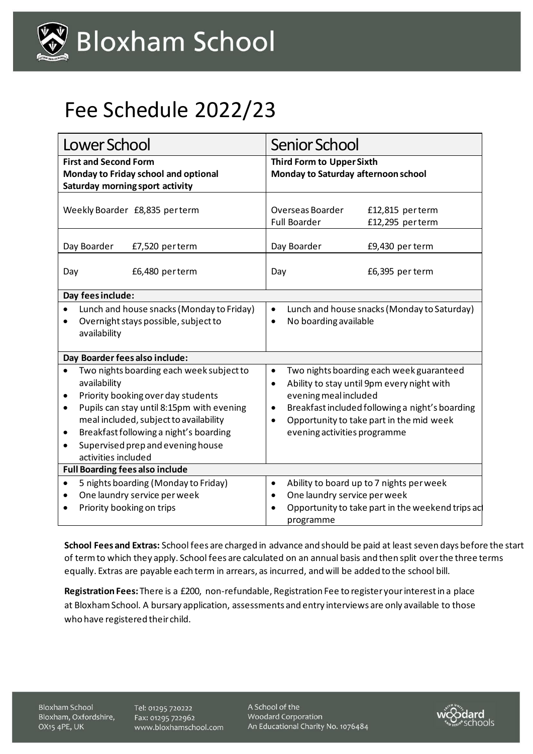

## Fee Schedule 2022/23

| Lower School                                                                                                                                                                                                                                                                                                                    | Senior School                                                                                                                                                                                                                                                                              |                                    |
|---------------------------------------------------------------------------------------------------------------------------------------------------------------------------------------------------------------------------------------------------------------------------------------------------------------------------------|--------------------------------------------------------------------------------------------------------------------------------------------------------------------------------------------------------------------------------------------------------------------------------------------|------------------------------------|
| <b>First and Second Form</b><br>Monday to Friday school and optional<br>Saturday morning sport activity                                                                                                                                                                                                                         | <b>Third Form to Upper Sixth</b><br>Monday to Saturday afternoon school                                                                                                                                                                                                                    |                                    |
| Weekly Boarder £8,835 perterm                                                                                                                                                                                                                                                                                                   | Overseas Boarder<br><b>Full Boarder</b>                                                                                                                                                                                                                                                    | £12,815 perterm<br>£12,295 perterm |
| Day Boarder<br>£7,520 perterm                                                                                                                                                                                                                                                                                                   | Day Boarder                                                                                                                                                                                                                                                                                | £9,430 per term                    |
| £6,480 perterm<br>Day                                                                                                                                                                                                                                                                                                           | Day                                                                                                                                                                                                                                                                                        | £6,395 per term                    |
| Day fees include:                                                                                                                                                                                                                                                                                                               |                                                                                                                                                                                                                                                                                            |                                    |
| Lunch and house snacks (Monday to Friday)<br>$\bullet$<br>Overnight stays possible, subject to<br>$\bullet$<br>availability                                                                                                                                                                                                     | Lunch and house snacks (Monday to Saturday)<br>$\bullet$<br>No boarding available<br>$\bullet$                                                                                                                                                                                             |                                    |
| Day Boarder fees also include:                                                                                                                                                                                                                                                                                                  |                                                                                                                                                                                                                                                                                            |                                    |
| Two nights boarding each week subject to<br>availability<br>Priority booking over day students<br>٠<br>Pupils can stay until 8:15pm with evening<br>$\bullet$<br>meal included, subject to availability<br>Breakfast following a night's boarding<br>٠<br>Supervised prep and evening house<br>$\bullet$<br>activities included | Two nights boarding each week guaranteed<br>$\bullet$<br>Ability to stay until 9pm every night with<br>$\bullet$<br>evening meal included<br>Breakfast included following a night's boarding<br>٠<br>Opportunity to take part in the mid week<br>$\bullet$<br>evening activities programme |                                    |
| <b>Full Boarding fees also include</b>                                                                                                                                                                                                                                                                                          |                                                                                                                                                                                                                                                                                            |                                    |
| 5 nights boarding (Monday to Friday)<br>$\bullet$<br>One laundry service per week<br>٠<br>Priority booking on trips<br>$\bullet$                                                                                                                                                                                                | Ability to board up to 7 nights per week<br>$\bullet$<br>One laundry service per week<br>$\bullet$<br>Opportunity to take part in the weekend trips ac<br>programme                                                                                                                        |                                    |

**School Fees and Extras:** School fees are charged in advance and should be paid at least seven days before the start of term to which they apply. School fees are calculated on an annual basis and then split over the three terms equally. Extras are payable each term in arrears, as incurred, and will be added to the school bill.

**Registration Fees:** There is a £200, non-refundable, Registration Fee to register your interest in a place at Bloxham School. A bursary application, assessments and entry interviews are only available to those who have registered their child.

**Bloxham School** Bloxham, Oxfordshire, OX15 4PE, UK

Tel: 01295 720222 Fax: 01295 722962 www.bloxhamschool.com A School of the Woodard Corporation An Educational Charity No. 1076484

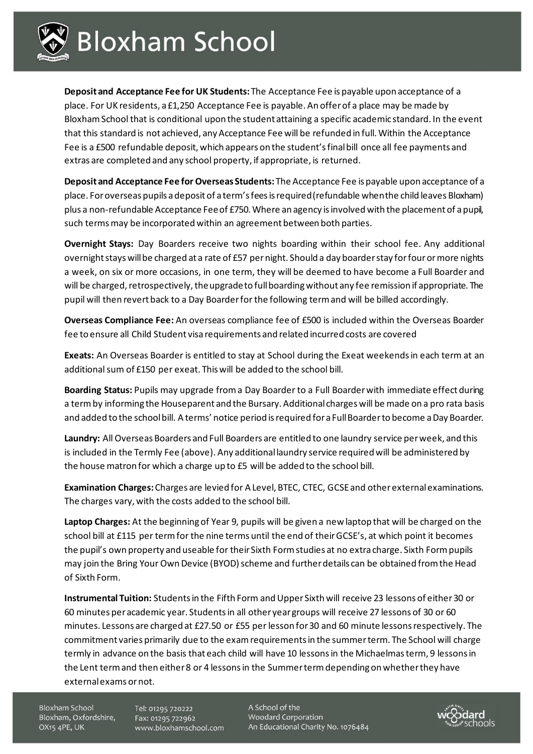

**Deposit and Acceptance Fee for UK Students:** The Acceptance Fee is payable upon acceptance of a place. For UK residents, a £1,250 Acceptance Fee is payable. An offer of a place may be made by Bloxham School that is conditional upon the student attaining a specific academic standard. In the event that this standard is not achieved, any Acceptance Fee will be refunded in full. Within the Acceptance Fee is a £500 refundable deposit, which appears on the student's final bill once all fee payments and extras are completed and any school property, if appropriate, is returned.

**Deposit and Acceptance Fee for Overseas Students:** The Acceptance Fee is payable upon acceptance of a place. For overseas pupils a deposit of a term's fees is required (refundable when the child leaves Bloxham) plus a non-refundable Acceptance Fee of £750. Where an agency is involved with the placement of a pupil, such terms may be incorporated within an agreement between both parties.

**Overnight Stays:** Day Boarders receive two nights boarding within their school fee. Any additional overnight stays will be charged at a rate of £57 per night. Should a day boarder stay forfour or more nights a week, on six or more occasions, in one term, they will be deemed to have become a Full Boarder and will be charged, retrospectively, the upgrade to full boarding without any fee remission if appropriate. The pupil will then revert back to a Day Boarder for the following term and will be billed accordingly.

**Overseas Compliance Fee:** An overseas compliance fee of £500 is included within the Overseas Boarder fee to ensure all Child Student visa requirements and related incurred costs are covered

**Exeats:** An Overseas Boarder is entitled to stay at School during the Exeat weekends in each term at an additional sum of £150 per exeat. This will be added to the school bill.

**Boarding Status:** Pupils may upgrade from a Day Boarder to a Full Boarder with immediate effect during a term by informing the Houseparent and the Bursary. Additional charges will be made on a pro rata basis and added to the school bill. A terms' notice period is required for a Full Boarder to become a Day Boarder.

**Laundry:** All Overseas Boarders and Full Boarders are entitled to one laundry service per week, and this is included in the Termly Fee (above). Any additional laundry service required will be administered by the house matron for which a charge up to £5 will be added to the school bill.

**Examination Charges:**Charges are levied for A Level, BTEC, CTEC, GCSE and other external examinations. The charges vary, with the costs added to the school bill.

**Laptop Charges:** At the beginning of Year 9, pupils will be given a new laptop that will be charged on the school bill at £115 per term for the nine terms until the end of their GCSE's, at which point it becomes the pupil's own property and useable for their Sixth Form studies at no extra charge. Sixth Form pupils may join the Bring Your Own Device (BYOD) scheme and further details can be obtained from the Head of Sixth Form.

**Instrumental Tuition:** Students in the Fifth Form and Upper Sixth will receive 23 lessons of either 30 or 60 minutes per academic year. Students in all other year groups will receive 27 lessons of 30 or 60 minutes. Lessons are charged at £27.50 or £55 per lesson for 30 and 60 minute lessons respectively. The commitment varies primarily due to the exam requirements in the summer term. The School will charge termly in advance on the basis that each child will have 10 lessons in the Michaelmas term, 9 lessons in the Lent term and then either 8 or 4 lessons in the Summer term depending on whether they have external exams or not.

Bloxham School Bloxham, Oxfordshire, OX15 4PE, UK

Tel: 01295 720222 Fax: 01295 722962 www.bloxhamschool.com A School of the Woodard Corporation An Educational Charity No. 1076484